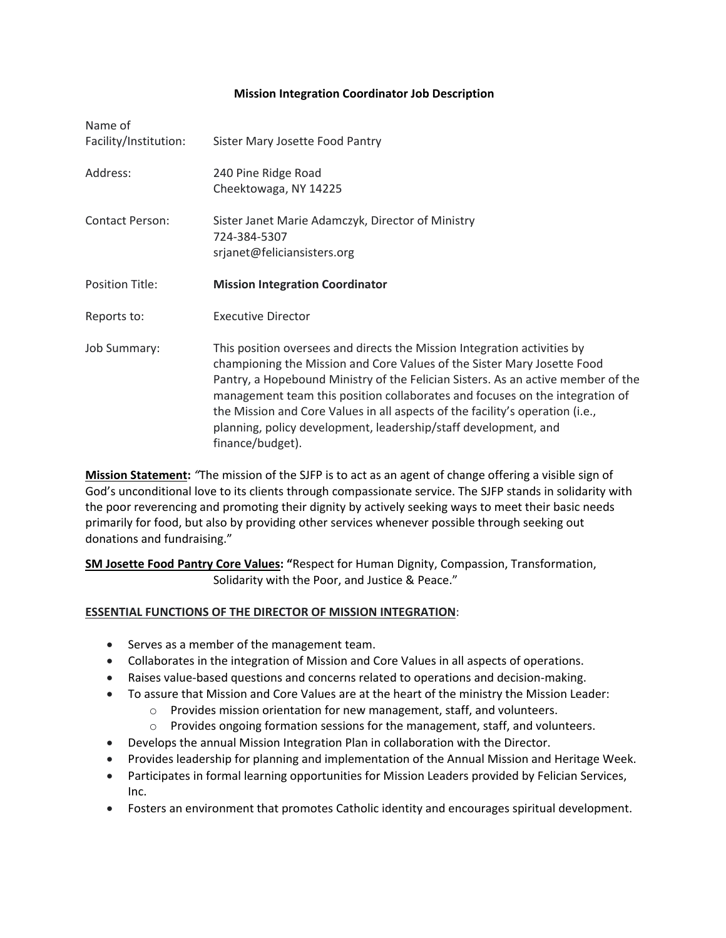## **Mission Integration Coordinator Job Description**

| Name of<br>Facility/Institution: | Sister Mary Josette Food Pantry                                                                                                                                                                                                                                                                                                                                                                                                                                                                 |
|----------------------------------|-------------------------------------------------------------------------------------------------------------------------------------------------------------------------------------------------------------------------------------------------------------------------------------------------------------------------------------------------------------------------------------------------------------------------------------------------------------------------------------------------|
| Address:                         | 240 Pine Ridge Road<br>Cheektowaga, NY 14225                                                                                                                                                                                                                                                                                                                                                                                                                                                    |
| <b>Contact Person:</b>           | Sister Janet Marie Adamczyk, Director of Ministry<br>724-384-5307<br>srjanet@feliciansisters.org                                                                                                                                                                                                                                                                                                                                                                                                |
| <b>Position Title:</b>           | <b>Mission Integration Coordinator</b>                                                                                                                                                                                                                                                                                                                                                                                                                                                          |
| Reports to:                      | <b>Executive Director</b>                                                                                                                                                                                                                                                                                                                                                                                                                                                                       |
| <b>Job Summary:</b>              | This position oversees and directs the Mission Integration activities by<br>championing the Mission and Core Values of the Sister Mary Josette Food<br>Pantry, a Hopebound Ministry of the Felician Sisters. As an active member of the<br>management team this position collaborates and focuses on the integration of<br>the Mission and Core Values in all aspects of the facility's operation (i.e.,<br>planning, policy development, leadership/staff development, and<br>finance/budget). |

**Mission Statement:** *"*The mission of the SJFP is to act as an agent of change offering a visible sign of God's unconditional love to its clients through compassionate service. The SJFP stands in solidarity with the poor reverencing and promoting their dignity by actively seeking ways to meet their basic needs primarily for food, but also by providing other services whenever possible through seeking out donations and fundraising."

**SM Josette Food Pantry Core Values: "**Respect for Human Dignity, Compassion, Transformation, Solidarity with the Poor, and Justice & Peace."

## **ESSENTIAL FUNCTIONS OF THE DIRECTOR OF MISSION INTEGRATION**:

- Serves as a member of the management team.
- Collaborates in the integration of Mission and Core Values in all aspects of operations.
- Raises value-based questions and concerns related to operations and decision-making.
- To assure that Mission and Core Values are at the heart of the ministry the Mission Leader:
	- o Provides mission orientation for new management, staff, and volunteers.
	- $\circ$  Provides ongoing formation sessions for the management, staff, and volunteers.
- Develops the annual Mission Integration Plan in collaboration with the Director.
- Provides leadership for planning and implementation of the Annual Mission and Heritage Week.
- Participates in formal learning opportunities for Mission Leaders provided by Felician Services, Inc.
- Fosters an environment that promotes Catholic identity and encourages spiritual development.